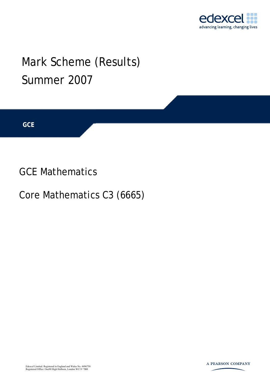

## Mark Scheme (Results) Summer 2007

**GCE** 

GCE Mathematics

Core Mathematics C3 (6665)

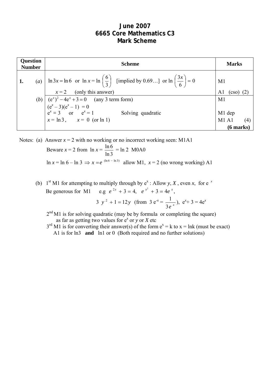## **June 2007 6665 Core Mathematics C3 Mark Scheme**

| <b>Question</b><br><b>Number</b> |  | <b>Scheme</b>                                                                                                                                                       | <b>Marks</b>   |
|----------------------------------|--|---------------------------------------------------------------------------------------------------------------------------------------------------------------------|----------------|
|                                  |  | (a) $\ln 3x = \ln 6$ or $\ln x = \ln \left(\frac{6}{3}\right)$ [implied by 0.69] or $\ln \left(\frac{3x}{6}\right) = 0$                                             | M1             |
|                                  |  | $x = 2$ (only this answer)                                                                                                                                          | (CSO)          |
|                                  |  |                                                                                                                                                                     | M <sub>1</sub> |
|                                  |  |                                                                                                                                                                     |                |
|                                  |  | (b) $(e^x)^2 - 4e^x + 3 = 0$ (any 3 term form)<br>$(e^x - 3)(e^x - 1) = 0$<br>$e^x = 3$ or $e^x = 1$ Solvin<br>$x = \ln 3$ , $x = 0$ (or ln 1)<br>Solving quadratic | M1 dep         |
|                                  |  |                                                                                                                                                                     | M1A1<br>(4)    |
|                                  |  |                                                                                                                                                                     | $(6$ marks)    |

Notes: (a) Answer  $x = 2$  with no working or no incorrect working seen: M1A1 Beware  $x = 2$  from  $\ln x =$ ln 3  $\frac{\ln 6}{\ln 2}$  = ln 2 M0A0 ln *x* = ln 6 − ln 3  $\Rightarrow$  *x* = *e* <sup>(ln6 − ln3) allow M1, *x* = 2 (no wrong working) A1</sup>

(b)  $1^{st}$  M1 for attempting to multiply through by  $e^{x}$ : Allow *y*, *X*, even *x*, for  $e^{x}$ Be generous for M1 e.g  $e^{2x} + 3 = 4$ ,  $e^{x^2} + 3 = 4e^{x}$ , 3  $y^2 + 1 = 12y$  (from 3  $e^{-x} = \frac{1}{3e^{-x}}$ ),  $e^{x} + 3 = 4e^{x}$ 

 $2<sup>nd</sup> M1$  is for solving quadratic (may be by formula or completing the square) as far as getting two values for  $e^x$  or  $\overline{y}$  or  $\overline{X}$  etc

 $3<sup>rd</sup>$  M1 is for converting their answer(s) of the form  $e<sup>x</sup> = k$  to  $x = lnk$  (must be exact) A1 is for ln3 **and** <sup>ln1</sup> or 0 (Both required and no further solutions)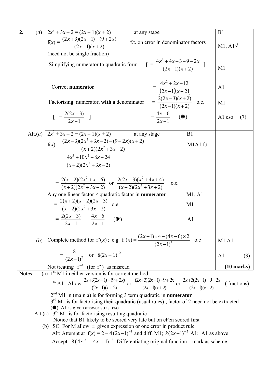| $f(x) = \frac{(2x+3)(2x-1)-(9+2x)}{(2x-1)(x+2)}$<br>f.t. on error in denominator factors<br>$M1, A1\sqrt$<br>(need not be single fraction)<br>$\left[1 = \frac{4x^2 + 4x - 3 - 9 - 2x}{(2x - 1)(x + 2)}\right]$<br>Simplifying numerator to quadratic form<br>M <sub>1</sub><br>$=\frac{4x^2+2x-12}{\sqrt{2x-1)(x+2}}$<br>Correct numerator<br>A <sub>1</sub><br>$=\frac{2(2x-3)(x+2)}{(2x-1)(x+2)}$ o.e.<br>Factorising numerator, with a denominator<br>M1<br>$=\frac{4x-6}{2x-1}$ (*)<br>$\left[ = \frac{2(2x-3)}{2x-1} \right]$<br>A1 cso<br>(7)<br>Alt.(a) $2x^2 + 3x - 2 = (2x - 1)(x + 2)$<br>B <sub>1</sub><br>at any stage<br>$f(x) = \frac{(2x+3)(2x^2+3x-2)-(9+2x)(x+2)}{(x+2)(2x^2+3x-2)}$<br>M1A1 f.t.<br>$=\frac{4x^3+10x^2-8x-24}{(x+2)(2x^2+3x-2)}$<br>$= \frac{2(x+2)(2x^2+x-6)}{(x+2)(2x^2+3x-2)}$ or $\frac{2(2x-3)(x^2+4x+4)}{(x+2)(2x^2+3x+2)}$<br>o.e.<br>Any one linear factor $\times$ quadratic factor in <b>numerator</b><br>M1, A1<br>$=\frac{2(x+2)(x+2)(2x-3)}{(x+2)(2x^2+3x-2)}$ o.e.<br>M1<br>$=\frac{2(2x-3)}{2x-1} \qquad \frac{4x-6}{2x-1}$<br>$(* )$<br>A <sub>1</sub> |  |  |  |  |
|-----------------------------------------------------------------------------------------------------------------------------------------------------------------------------------------------------------------------------------------------------------------------------------------------------------------------------------------------------------------------------------------------------------------------------------------------------------------------------------------------------------------------------------------------------------------------------------------------------------------------------------------------------------------------------------------------------------------------------------------------------------------------------------------------------------------------------------------------------------------------------------------------------------------------------------------------------------------------------------------------------------------------------------------------------------------------------------------------------------|--|--|--|--|
|                                                                                                                                                                                                                                                                                                                                                                                                                                                                                                                                                                                                                                                                                                                                                                                                                                                                                                                                                                                                                                                                                                           |  |  |  |  |
|                                                                                                                                                                                                                                                                                                                                                                                                                                                                                                                                                                                                                                                                                                                                                                                                                                                                                                                                                                                                                                                                                                           |  |  |  |  |
|                                                                                                                                                                                                                                                                                                                                                                                                                                                                                                                                                                                                                                                                                                                                                                                                                                                                                                                                                                                                                                                                                                           |  |  |  |  |
|                                                                                                                                                                                                                                                                                                                                                                                                                                                                                                                                                                                                                                                                                                                                                                                                                                                                                                                                                                                                                                                                                                           |  |  |  |  |
|                                                                                                                                                                                                                                                                                                                                                                                                                                                                                                                                                                                                                                                                                                                                                                                                                                                                                                                                                                                                                                                                                                           |  |  |  |  |
|                                                                                                                                                                                                                                                                                                                                                                                                                                                                                                                                                                                                                                                                                                                                                                                                                                                                                                                                                                                                                                                                                                           |  |  |  |  |
|                                                                                                                                                                                                                                                                                                                                                                                                                                                                                                                                                                                                                                                                                                                                                                                                                                                                                                                                                                                                                                                                                                           |  |  |  |  |
|                                                                                                                                                                                                                                                                                                                                                                                                                                                                                                                                                                                                                                                                                                                                                                                                                                                                                                                                                                                                                                                                                                           |  |  |  |  |
|                                                                                                                                                                                                                                                                                                                                                                                                                                                                                                                                                                                                                                                                                                                                                                                                                                                                                                                                                                                                                                                                                                           |  |  |  |  |
|                                                                                                                                                                                                                                                                                                                                                                                                                                                                                                                                                                                                                                                                                                                                                                                                                                                                                                                                                                                                                                                                                                           |  |  |  |  |
|                                                                                                                                                                                                                                                                                                                                                                                                                                                                                                                                                                                                                                                                                                                                                                                                                                                                                                                                                                                                                                                                                                           |  |  |  |  |
|                                                                                                                                                                                                                                                                                                                                                                                                                                                                                                                                                                                                                                                                                                                                                                                                                                                                                                                                                                                                                                                                                                           |  |  |  |  |
|                                                                                                                                                                                                                                                                                                                                                                                                                                                                                                                                                                                                                                                                                                                                                                                                                                                                                                                                                                                                                                                                                                           |  |  |  |  |
|                                                                                                                                                                                                                                                                                                                                                                                                                                                                                                                                                                                                                                                                                                                                                                                                                                                                                                                                                                                                                                                                                                           |  |  |  |  |
|                                                                                                                                                                                                                                                                                                                                                                                                                                                                                                                                                                                                                                                                                                                                                                                                                                                                                                                                                                                                                                                                                                           |  |  |  |  |
| (b) Complete method for f'(x); e.g f'(x) = $\frac{(2x-1) \times 4 - (4x-6) \times 2}{(2x-1)^2}$ o.e<br>M <sub>1</sub> A <sub>1</sub>                                                                                                                                                                                                                                                                                                                                                                                                                                                                                                                                                                                                                                                                                                                                                                                                                                                                                                                                                                      |  |  |  |  |
| $=\frac{8}{(2x-1)^2}$ or $8(2x-1)^{-2}$<br>A <sub>1</sub><br>(3)                                                                                                                                                                                                                                                                                                                                                                                                                                                                                                                                                                                                                                                                                                                                                                                                                                                                                                                                                                                                                                          |  |  |  |  |
|                                                                                                                                                                                                                                                                                                                                                                                                                                                                                                                                                                                                                                                                                                                                                                                                                                                                                                                                                                                                                                                                                                           |  |  |  |  |
| Not treating $f^{-1}$ (for f') as misread<br>(a) $1^{st}$ M1 in either version is for correct method<br>$(10 \text{ marks})$                                                                                                                                                                                                                                                                                                                                                                                                                                                                                                                                                                                                                                                                                                                                                                                                                                                                                                                                                                              |  |  |  |  |
| Notes:                                                                                                                                                                                                                                                                                                                                                                                                                                                                                                                                                                                                                                                                                                                                                                                                                                                                                                                                                                                                                                                                                                    |  |  |  |  |
| 1 <sup>st</sup> A1 Allow $\frac{2x+3(2x-1)-(9+2x)}{(2x-1)(x+2)}$ or $\frac{(2x+3)(2x-1)-9+2x}{(2x-1)(x+2)}$ or $\frac{2x+3(2x-1)-9+2x}{(2x-1)(x+2)}$ (fractions)                                                                                                                                                                                                                                                                                                                                                                                                                                                                                                                                                                                                                                                                                                                                                                                                                                                                                                                                          |  |  |  |  |
| $2nd$ M1 in (main a) is for forming 3 term quadratic in <b>numerator</b>                                                                                                                                                                                                                                                                                                                                                                                                                                                                                                                                                                                                                                                                                                                                                                                                                                                                                                                                                                                                                                  |  |  |  |  |
| $3rd$ M1 is for factorising their quadratic (usual rules); factor of 2 need not be extracted<br>(*) A1 is given answer so is $\cos$                                                                                                                                                                                                                                                                                                                                                                                                                                                                                                                                                                                                                                                                                                                                                                                                                                                                                                                                                                       |  |  |  |  |
| $3rd$ M1 is for factorising resulting quadratic<br>Alt $(a)$                                                                                                                                                                                                                                                                                                                                                                                                                                                                                                                                                                                                                                                                                                                                                                                                                                                                                                                                                                                                                                              |  |  |  |  |
| Notice that B1 likely to be scored very late but on ePen scored first                                                                                                                                                                                                                                                                                                                                                                                                                                                                                                                                                                                                                                                                                                                                                                                                                                                                                                                                                                                                                                     |  |  |  |  |
| (b) SC: For M allow $\pm$ given expression or one error in product rule<br>Alt: Attempt at $f(x) = 2 - 4(2x-1)^{-1}$ and diff. M1; $k(2x-1)^{-2}$ A1; A1 as above                                                                                                                                                                                                                                                                                                                                                                                                                                                                                                                                                                                                                                                                                                                                                                                                                                                                                                                                         |  |  |  |  |
| Accept $8(4x^2 - 4x + 1)^{-2}$ . Differentiating original function – mark as scheme.                                                                                                                                                                                                                                                                                                                                                                                                                                                                                                                                                                                                                                                                                                                                                                                                                                                                                                                                                                                                                      |  |  |  |  |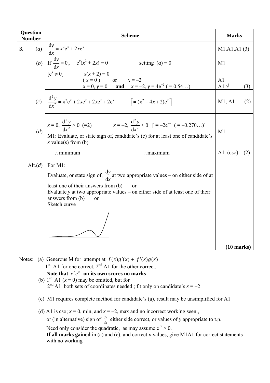| <b>Question</b><br><b>Number</b> | <b>Scheme</b>                                                                                                                                                                                                                                                                                       | <b>Marks</b>               |
|----------------------------------|-----------------------------------------------------------------------------------------------------------------------------------------------------------------------------------------------------------------------------------------------------------------------------------------------------|----------------------------|
| 3.                               | (a) $\frac{dy}{dx} = x^2 e^x + 2x e^x$                                                                                                                                                                                                                                                              | M1,A1,A1(3)                |
|                                  |                                                                                                                                                                                                                                                                                                     | M1                         |
|                                  | (b) If $\frac{dy}{dx} = 0$ , $e^x(x^2 + 2x) = 0$ setting $(a) = 0$<br>$[e^x \neq 0]$ $x(x + 2) = 0$<br>$(x = 0)$ or $x = -2$<br>$x = 0, y = 0$ and $x = -2, y = 4e^{-2} (= 0.54)$                                                                                                                   | A1<br>A1 $\sqrt{ }$<br>(3) |
|                                  | (c) $\frac{d^2 y}{dr^2} = x^2 e^x + 2x e^x + 2x e^x + 2e^x$ $\left[=(x^2 + 4x + 2)e^x\right]$                                                                                                                                                                                                       | M1, A1<br>(2)              |
| (d)                              | $x = 0, \frac{d^2 y}{dx^2} > 0$ (=2) $x = -2, \frac{d^2 y}{dx^2} < 0$ [=-2e <sup>-2</sup> (=-0.270)]<br>M1: Evaluate, or state sign of, candidate's (c) for at least one of candidate's<br>x value(s) from $(b)$                                                                                    | M1                         |
|                                  | $\therefore$ minimum<br>$\therefore$ maximum                                                                                                                                                                                                                                                        | Al $(coso)$<br>(2)         |
| Alt. $(d)$                       | For M1:<br>Evaluate, or state sign of, $\frac{dy}{dx}$ at two appropriate values – on either side of at<br>least one of their answers from (b)<br>$\alpha$<br>Evaluate $y$ at two appropriate values – on either side of at least one of their<br>answers from (b)<br><sub>or</sub><br>Sketch curve |                            |
|                                  |                                                                                                                                                                                                                                                                                                     | $(10 \text{ marks})$       |

- Notes: (a) Generous M for attempt at  $f(x)g'(x) + f'(x)g(x)$  $1<sup>st</sup>$  A1 for one correct,  $2<sup>nd</sup>$  A1 for the other correct. Note that  $x^2e^x$  on its own scores no marks (b)  $1<sup>st</sup>$  A1 ( $x = 0$ ) may be omitted, but for
	- $2<sup>nd</sup>$  A1 both sets of coordinates needed; f.t only on candidate's  $x = -2$
	- (c) M1 requires complete method for candidate's (a), result may be unsimplified for A1
	- (d) A1 is cso;  $x = 0$ , min, and  $x = -2$ , max and no incorrect working seen., or (in alternative) sign of  $\frac{dy}{dx}$  either side correct, or values of *y* appropriate to t.p. Need only consider the quadratic, as may assume  $e^x > 0$ . **If all marks gained** in (a) and (c), and correct x values, give M1A1 for correct statements with no working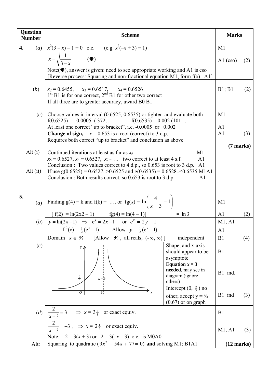| <b>Question</b><br><b>Number</b> | <b>Scheme</b>                                                                                                                                                               |                                                                      | <b>Marks</b>         |     |
|----------------------------------|-----------------------------------------------------------------------------------------------------------------------------------------------------------------------------|----------------------------------------------------------------------|----------------------|-----|
| 4.                               |                                                                                                                                                                             |                                                                      | M <sub>1</sub>       |     |
|                                  | (a) $x^2(3-x)-1=0$ o.e. (e.g. $x^2(-x+3)=1$ )<br>$x=\sqrt{\frac{1}{3-x}}$ (*)                                                                                               |                                                                      | Al $(coso)$          | (2) |
|                                  | Note( $\clubsuit$ ), answer is given: need to see appropriate working and A1 is cso<br>[Reverse process: Squaring and non-fractional equation M1, form $f(x)$ A1]           |                                                                      |                      |     |
| (b)                              | $x_2 = 0.6455$ , $x_3 = 0.6517$ , $x_4 = 0.6526$<br>$1st$ B1 is for one correct, $2nd$ B1 for other two correct<br>If all three are to greater accuracy, award B0 B1        |                                                                      | B1; B1               | (2) |
| (c)                              | Choose values in interval $(0.6525, 0.6535)$ or tighter and evaluate both<br>$f(0.6525) = -0.0005$ (372 $f(0.6535) = 0.002$ (101                                            |                                                                      | M1                   |     |
|                                  | At least one correct "up to bracket", i.e. -0.0005 or 0.002                                                                                                                 |                                                                      | A <sub>1</sub>       |     |
|                                  | <b>Change of sign,</b> $\therefore x = 0.653$ is a root (correct) to 3 d.p.                                                                                                 |                                                                      | A <sub>1</sub>       | (3) |
|                                  | Requires both correct "up to bracket" and conclusion as above                                                                                                               |                                                                      | $(7$ marks)          |     |
| Alt $(i)$                        | M1<br>Continued iterations at least as far as $x_6$                                                                                                                         |                                                                      |                      |     |
|                                  | $x_5 = 0.6527$ , $x_6 = 0.6527$ , $x_7 = $ two correct to at least 4 s.f.                                                                                                   | A <sub>1</sub>                                                       |                      |     |
|                                  | Conclusion : Two values correct to $4 d.p., so 0.653$ is root to $3 d.p.$                                                                                                   | A <sub>1</sub>                                                       |                      |     |
|                                  | Alt $(ii)$<br>If use $g(0.6525) = 0.6527$ >0.6525 and $g(0.6535) = 0.6528$ <0.6535 M1A1<br>Conclusion: Both results correct, so $0.653$ is root to 3 d.p.<br>A <sub>1</sub> |                                                                      |                      |     |
|                                  |                                                                                                                                                                             |                                                                      |                      |     |
|                                  |                                                                                                                                                                             |                                                                      |                      |     |
| 5.<br>(a)                        | Finding g(4) = k and f(k) =  or $fg(x) = \ln\left(\frac{4}{x-3} - 1\right)$                                                                                                 |                                                                      | M1                   |     |
|                                  |                                                                                                                                                                             | $=$ ln 3                                                             | A1                   | (2) |
|                                  | (b) $\left[\frac{f(2) = \ln(2x^2 - 1)}{y = \ln(2x - 1)} \right]$ $\Rightarrow$ $e^y = 2x - 1$ or $e^x = 2y - 1$                                                             |                                                                      | M1, A1               |     |
|                                  | $f^{-1}(x) = \frac{1}{2}(e^x + 1)$ Allow $y = \frac{1}{2}(e^x + 1)$                                                                                                         |                                                                      | A <sub>1</sub>       |     |
|                                  | [Allow $\mathfrak{R}$ , all reals, $(-\infty, \infty)$ ]<br>Domain $x \in \Re$                                                                                              | independent                                                          | B1                   | (4) |
| (c)                              | $\mathcal{Y}$ $\Lambda$                                                                                                                                                     | Shape, and x-axis<br>should appear to be<br>asymptote                | B <sub>1</sub>       |     |
|                                  | $rac{2}{3}$<br>$x = 3$                                                                                                                                                      | Equation $x = 3$<br>needed, may see in<br>diagram (ignore<br>others) | B1 ind.              |     |
|                                  | 0<br>3 <sub>1</sub>                                                                                                                                                         | Intercept $(0, \frac{2}{3})$ no                                      |                      |     |
|                                  |                                                                                                                                                                             | other; accept $y = \frac{2}{3}$<br>$(0.67)$ or on graph              | B1 ind               | (3) |
| (d)                              | $\frac{2}{x-3} = 3$ $\Rightarrow x = 3\frac{2}{3}$ or exact equiv.<br>$\frac{2}{x-3} = -3$ , $\Rightarrow x = 2\frac{1}{3}$ or exact equiv.                                 |                                                                      | B1                   |     |
|                                  |                                                                                                                                                                             |                                                                      |                      |     |
|                                  |                                                                                                                                                                             |                                                                      | M1, A1               | (3) |
| Alt:                             | Note: $2 = 3(x + 3)$ or $2 = 3(-x - 3)$ o.e. is M0A0                                                                                                                        |                                                                      | $(12 \text{ marks})$ |     |
|                                  | Squaring to quadratic $(9x^2 - 54x + 77 = 0)$ and solving M1; B1A1                                                                                                          |                                                                      |                      |     |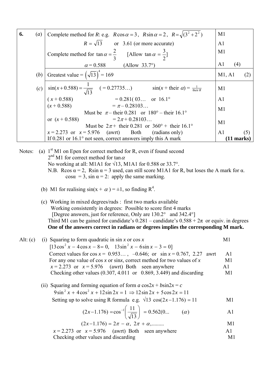| 6. | $\left(a\right)$ | Complete method for R: e.g. $R\cos\alpha = 3$ , $R\sin\alpha = 2$ , $R = \sqrt{(3^2 + 2^2)}$                                                                                      | M1                    |
|----|------------------|-----------------------------------------------------------------------------------------------------------------------------------------------------------------------------------|-----------------------|
|    |                  | $R = \sqrt{13}$ or 3.61 (or more accurate)                                                                                                                                        | A <sub>1</sub>        |
|    |                  | Complete method for $\tan \alpha = \frac{2}{3}$ [Allow $\tan \alpha = \frac{3}{2}$ ]                                                                                              | M1                    |
|    |                  | $\alpha = 0.588$ (Allow 33.7°)                                                                                                                                                    | A <sub>1</sub><br>(4) |
|    |                  | (b) Greatest value = $(\sqrt{13})^4$ = 169                                                                                                                                        | M1, A1<br>(2)         |
|    |                  | (c) $\sin(x+0.588) = \frac{1}{\sqrt{13}}$ (= 0.27735) $\sin(x + \text{their } \alpha) = \frac{1}{\text{their } R}$<br>(x+0.588) = 0.281(03 or 16.1°<br>(x+0.588) = $\pi$ -0.28103 | M1                    |
|    |                  |                                                                                                                                                                                   | A <sub>1</sub>        |
|    |                  | Must be $\pi$ – their 0.281 or 180° – their 16.1°                                                                                                                                 | M1                    |
|    |                  | or $(x + 0.588)$<br>$= 2\pi + 0.28103$<br>Must be $2\pi$ + their 0.281 or 360° + their 16.1°                                                                                      | M1                    |
|    |                  | $x = 2.273$ or $x = 5.976$ (awrt) Both (radians only)                                                                                                                             | A <sub>1</sub>        |
|    |                  | If 0.281 or $16.1^{\circ}$ not seen, correct answers imply this A mark                                                                                                            | $(11$ marks)          |
|    |                  |                                                                                                                                                                                   |                       |

Notes: (a)  $1<sup>st</sup> M1$  on Epen for correct method for R, even if found second  $2<sup>nd</sup>$  M1 for correct method for tan $\alpha$ No working at all: M1A1 for  $\sqrt{13}$ , M1A1 for 0.588 or 33.7°. N.B. Rcos  $\alpha = 2$ , Rsin  $\alpha = 3$  used, can still score M1A1 for R, but loses the A mark for  $\alpha$ . cos $\alpha$  = 3, sin  $\alpha$  = 2: apply the same marking.

- (b) M1 for realising  $sin(x + \alpha) = \pm 1$ , so finding R<sup>4</sup>.
	- (c) Working in mixed degrees/rads : first two marks available Working consistently in degrees: Possible to score first 4 marks [Degree answers, just for reference, Only are 130.2° and 342.4°] Third M1 can be gained for candidate's  $0.281$  – candidate's  $0.588 + 2\pi$  or equiv. in degrees  **One of the answers correct in radians or degrees implies the corresponding M mark.**

| Alt: (c) (i) Squaring to form quadratic in $\sin x$ or $\cos x$                | M1             |
|--------------------------------------------------------------------------------|----------------|
| $[13\cos^2 x - 4\cos x - 8 = 0, 13\sin^2 x - 6\sin x - 3 = 0]$                 |                |
| Correct values for $\cos x = 0.953$ , -0.646; or $\sin x = 0.767$ , 2.27 awrt  | A <sup>1</sup> |
| For any one value of $\cos x$ or $\sin x$ , correct method for two values of x | M <sub>1</sub> |
| $x = 2.273$ or $x = 5.976$ (awrt) Both seen anywhere                           | A1             |
| Checking other values $(0.307, 4.011)$ or $(0.869, 3.449)$ and discarding      | M1             |
|                                                                                |                |

(ii) Squaring and forming equation of form  $a \cos 2x + b \sin 2x = c$  $9\sin^2 x + 4\cos^2 x + 12\sin 2x = 1 \implies 12\sin 2x + 5\cos 2x = 11$ Setting up to solve using R formula e.g.  $\sqrt{13} \cos(2x-1.176) = 11$  M1

$$
(2x-1.176) = \cos^{-1}\left(\frac{11}{\sqrt{13}}\right) = 0.562(0... \qquad (\alpha) \qquad \text{A1}
$$

$$
(2x-1.176) = 2\pi - \alpha, \ 2\pi + \alpha, \ \ldots
$$

 $x = 2.273$  or  $x = 5.976$  (awrt) Both seen anywhere A1 Checking other values and discarding M1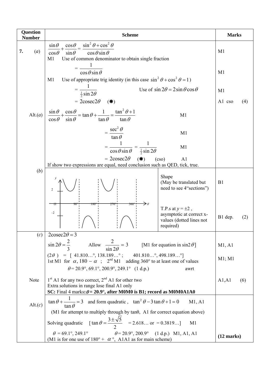| Question<br><b>Scheme</b><br><b>Number</b> |                                                                                                                                                                                                                                                                                                                       | <b>Marks</b>             |  |
|--------------------------------------------|-----------------------------------------------------------------------------------------------------------------------------------------------------------------------------------------------------------------------------------------------------------------------------------------------------------------------|--------------------------|--|
| 7.<br>(a)                                  | $\cos\theta$ $\sin^2\theta + \cos^2\theta$<br>$\sin\theta$<br>$\cos\theta\sin\theta$<br>$\cos\theta$<br>$\sin \theta$<br>Use of common denominator to obtain single fraction<br>M <sub>1</sub>                                                                                                                        | M1                       |  |
|                                            | $\cos\theta\sin\theta$<br>Use of appropriate trig identity (in this case $\sin^2 \theta + \cos^2 \theta = 1$ )<br>M <sub>1</sub>                                                                                                                                                                                      | M1                       |  |
|                                            | Use of $\sin 2\theta = 2 \sin \theta \cos \theta$<br>$\frac{1}{2}$ sin 2 $\theta$<br>$= 2 \csc 2\theta$<br>$(* )$                                                                                                                                                                                                     | M <sub>1</sub><br>A1 cso |  |
| Alt. $(a)$                                 | $\frac{\sin\theta}{\cos\theta} + \frac{\cos\theta}{\sin\theta} = \tan\theta + \frac{1}{\tan\theta} = \frac{\tan^2\theta + 1}{\tan\theta}$<br>M1<br>$\cos \theta$<br>$\sin \theta$                                                                                                                                     | (4)                      |  |
|                                            | $=\frac{\sec^2\theta}{\tan\theta}$<br>M1<br>$\tan \theta$                                                                                                                                                                                                                                                             |                          |  |
|                                            | M1<br>$\cos\theta\sin\theta$<br>$rac{1}{2}$ sin 2 $\theta$<br>$= 2 \csc 2\theta$<br>$(* )$                                                                                                                                                                                                                            |                          |  |
|                                            | (coso)<br>A <sub>1</sub><br>If show two expressions are equal, need conclusion such as QED, tick, true.                                                                                                                                                                                                               |                          |  |
| (b)                                        | Shape<br>(May be translated but<br>need to see 4"sections")<br>2                                                                                                                                                                                                                                                      | B1                       |  |
|                                            | 270<br>360<br>180<br>T.P.s at $y = \pm 2$ ,<br>$-2$<br>asymptotic at correct x-<br>values (dotted lines not<br>required)                                                                                                                                                                                              | B1 dep.<br>(2)           |  |
| (c)                                        | $2\csc 2\theta = 3$                                                                                                                                                                                                                                                                                                   |                          |  |
|                                            | $\sin 2\theta = \frac{2}{3}$ Allow $\frac{2}{\sin 2\theta} = 3$ [M1 for equation in $\sin 2\theta$ ]<br>$(2\theta)$ = [41.810°, 138.189°; 401.810°, 498.189°]<br>1st M1 for $\alpha$ , 180 – $\alpha$ ; $2^{nd}$ M1 adding 360° to at least one of values<br>$\theta$ = 20.9°, 69.1°, 200.9°, 249.1° (1 d.p.)<br>awrt | M1, A1<br>M1; M1         |  |
| Note                                       | $1st$ A1 for any two correct, $2nd$ A1 for other two<br>Extra solutions in range lose final A1 only<br>SC: Final 4 marks: $\theta$ = 20.9°, after M0M0 is B1; record as M0M0A1A0                                                                                                                                      | A1, A1<br>(6)            |  |
| Alt(c)                                     | $\tan \theta + \frac{1}{\cos \theta} = 3$ and form quadratic, $\tan^2 \theta - 3 \tan \theta + 1 = 0$<br>M1, A1<br>(M1 for attempt to multiply through by $tan\theta$ , A1 for correct equation above)                                                                                                                |                          |  |
|                                            | Solving quadratic $[\tan \theta = \frac{3 \pm \sqrt{5}}{2}] = 2.618$ or $= 0.3819$<br>M1                                                                                                                                                                                                                              |                          |  |
|                                            | $\theta = 69.1^{\circ}, 249.1^{\circ}$<br>$\theta$ = 20.9°, 200.9° (1 d.p.) M1, A1, A1<br>(M1 is for one use of $180^{\circ}$ + $\alpha^{\circ}$ , A1A1 as for main scheme)                                                                                                                                           | $(12$ marks)             |  |